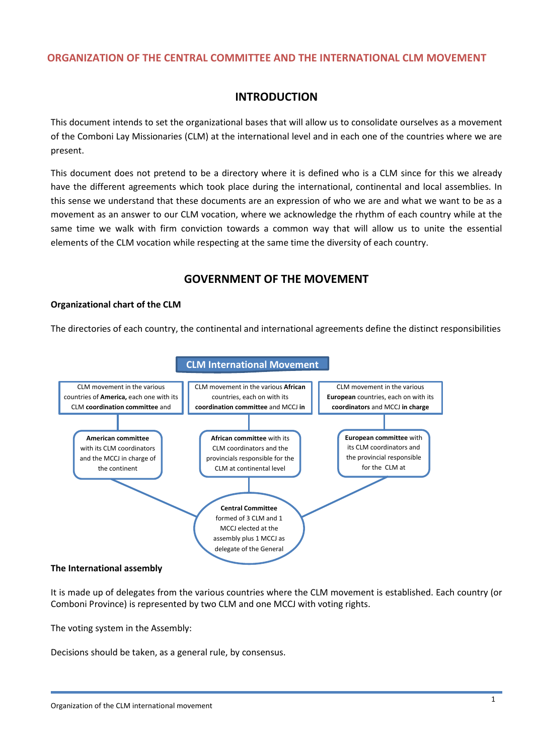## **ORGANIZATION OF THE CENTRAL COMMITTEE AND THE INTERNATIONAL CLM MOVEMENT**

## **INTRODUCTION**

This document intends to set the organizational bases that will allow us to consolidate ourselves as a movement of the Comboni Lay Missionaries (CLM) at the international level and in each one of the countries where we are present.

This document does not pretend to be a directory where it is defined who is a CLM since for this we already have the different agreements which took place during the international, continental and local assemblies. In this sense we understand that these documents are an expression of who we are and what we want to be as a movement as an answer to our CLM vocation, where we acknowledge the rhythm of each country while at the same time we walk with firm conviction towards a common way that will allow us to unite the essential elements of the CLM vocation while respecting at the same time the diversity of each country.

## **GOVERNMENT OF THE MOVEMENT**

### **Organizational chart of the CLM**

The directories of each country, the continental and international agreements define the distinct responsibilities



#### **The International assembly**

It is made up of delegates from the various countries where the CLM movement is established. Each country (or Comboni Province) is represented by two CLM and one MCCJ with voting rights.

The voting system in the Assembly:

Decisions should be taken, as a general rule, by consensus.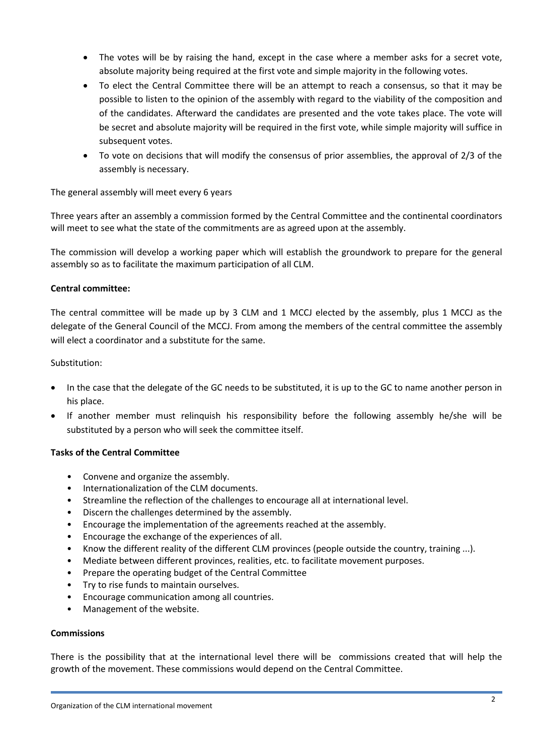- The votes will be by raising the hand, except in the case where a member asks for a secret vote, absolute majority being required at the first vote and simple majority in the following votes.
- To elect the Central Committee there will be an attempt to reach a consensus, so that it may be possible to listen to the opinion of the assembly with regard to the viability of the composition and of the candidates. Afterward the candidates are presented and the vote takes place. The vote will be secret and absolute majority will be required in the first vote, while simple majority will suffice in subsequent votes.
- To vote on decisions that will modify the consensus of prior assemblies, the approval of 2/3 of the assembly is necessary.

The general assembly will meet every 6 years

Three years after an assembly a commission formed by the Central Committee and the continental coordinators will meet to see what the state of the commitments are as agreed upon at the assembly.

The commission will develop a working paper which will establish the groundwork to prepare for the general assembly so as to facilitate the maximum participation of all CLM.

### **Central committee:**

The central committee will be made up by 3 CLM and 1 MCCJ elected by the assembly, plus 1 MCCJ as the delegate of the General Council of the MCCJ. From among the members of the central committee the assembly will elect a coordinator and a substitute for the same.

### Substitution:

- In the case that the delegate of the GC needs to be substituted, it is up to the GC to name another person in his place.
- If another member must relinquish his responsibility before the following assembly he/she will be substituted by a person who will seek the committee itself.

### **Tasks of the Central Committee**

- Convene and organize the assembly.
- Internationalization of the CLM documents.
- Streamline the reflection of the challenges to encourage all at international level.
- Discern the challenges determined by the assembly.
- Encourage the implementation of the agreements reached at the assembly.
- Encourage the exchange of the experiences of all.
- Know the different reality of the different CLM provinces (people outside the country, training ...).
- Mediate between different provinces, realities, etc. to facilitate movement purposes.
- Prepare the operating budget of the Central Committee
- Try to rise funds to maintain ourselves.
- Encourage communication among all countries.
- Management of the website.

### **Commissions**

There is the possibility that at the international level there will be commissions created that will help the growth of the movement. These commissions would depend on the Central Committee.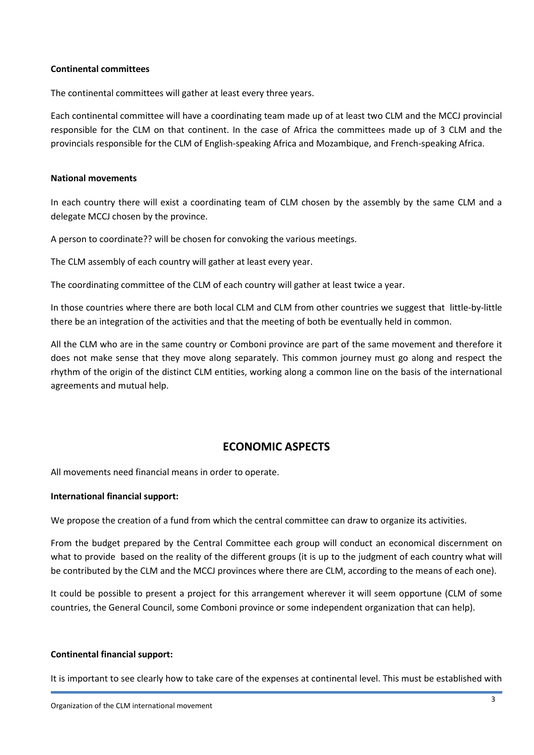#### **Continental committees**

The continental committees will gather at least every three years.

Each continental committee will have a coordinating team made up of at least two CLM and the MCCJ provincial responsible for the CLM on that continent. In the case of Africa the committees made up of 3 CLM and the provincials responsible for the CLM of English-speaking Africa and Mozambique, and French-speaking Africa.

#### **National movements**

In each country there will exist a coordinating team of CLM chosen by the assembly by the same CLM and a delegate MCCJ chosen by the province.

A person to coordinate?? will be chosen for convoking the various meetings.

The CLM assembly of each country will gather at least every year.

The coordinating committee of the CLM of each country will gather at least twice a year.

In those countries where there are both local CLM and CLM from other countries we suggest that little-by-little there be an integration of the activities and that the meeting of both be eventually held in common.

All the CLM who are in the same country or Comboni province are part of the same movement and therefore it does not make sense that they move along separately. This common journey must go along and respect the rhythm of the origin of the distinct CLM entities, working along a common line on the basis of the international agreements and mutual help.

## **ECONOMIC ASPECTS**

All movements need financial means in order to operate.

#### **International financial support:**

We propose the creation of a fund from which the central committee can draw to organize its activities.

From the budget prepared by the Central Committee each group will conduct an economical discernment on what to provide based on the reality of the different groups (it is up to the judgment of each country what will be contributed by the CLM and the MCCJ provinces where there are CLM, according to the means of each one).

It could be possible to present a project for this arrangement wherever it will seem opportune (CLM of some countries, the General Council, some Comboni province or some independent organization that can help).

#### **Continental financial support:**

It is important to see clearly how to take care of the expenses at continental level. This must be established with